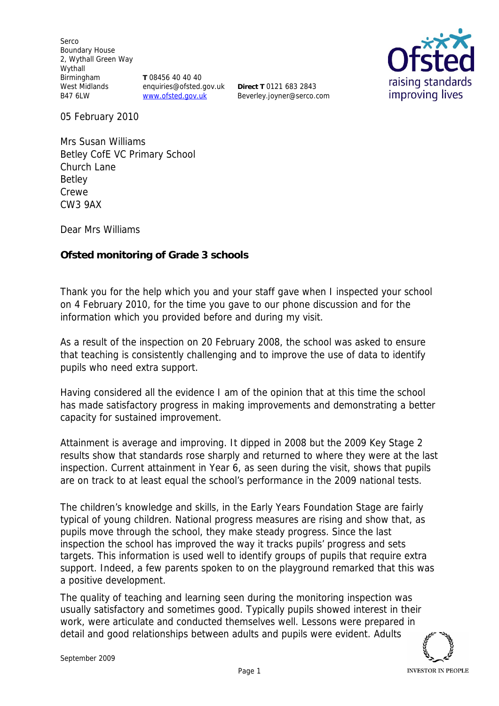Serco Boundary House 2, Wythall Green Way Wythall Birmingham West Midlands B47 6LW

**T** 08456 40 40 40 enquiries@ofsted.gov.uk www.ofsted.gov.uk

**Direct T** 0121 683 2843 Beverley.joyner@serco.com



05 February 2010

Mrs Susan Williams Betley CofE VC Primary School Church Lane Betley Crewe CW3 9AX

Dear Mrs Williams

**Ofsted monitoring of Grade 3 schools**

Thank you for the help which you and your staff gave when I inspected your school on 4 February 2010*,* for the time you gave to our phone discussion and for the information which you provided before and during my visit.

As a result of the inspection on 20 February 2008, the school was asked to ensure that teaching is consistently challenging and to improve the use of data to identify pupils who need extra support.

Having considered all the evidence I am of the opinion that at this time the school has made satisfactory progress in making improvements and demonstrating a better capacity for sustained improvement.

Attainment is average and improving. It dipped in 2008 but the 2009 Key Stage 2 results show that standards rose sharply and returned to where they were at the last inspection. Current attainment in Year 6, as seen during the visit, shows that pupils are on track to at least equal the school's performance in the 2009 national tests.

The children's knowledge and skills, in the Early Years Foundation Stage are fairly typical of young children. National progress measures are rising and show that, as pupils move through the school, they make steady progress. Since the last inspection the school has improved the way it tracks pupils' progress and sets targets. This information is used well to identify groups of pupils that require extra support. Indeed, a few parents spoken to on the playground remarked that this was a positive development.

The quality of teaching and learning seen during the monitoring inspection was usually satisfactory and sometimes good. Typically pupils showed interest in their work, were articulate and conducted themselves well. Lessons were prepared in detail and good relationships between adults and pupils were evident. Adults